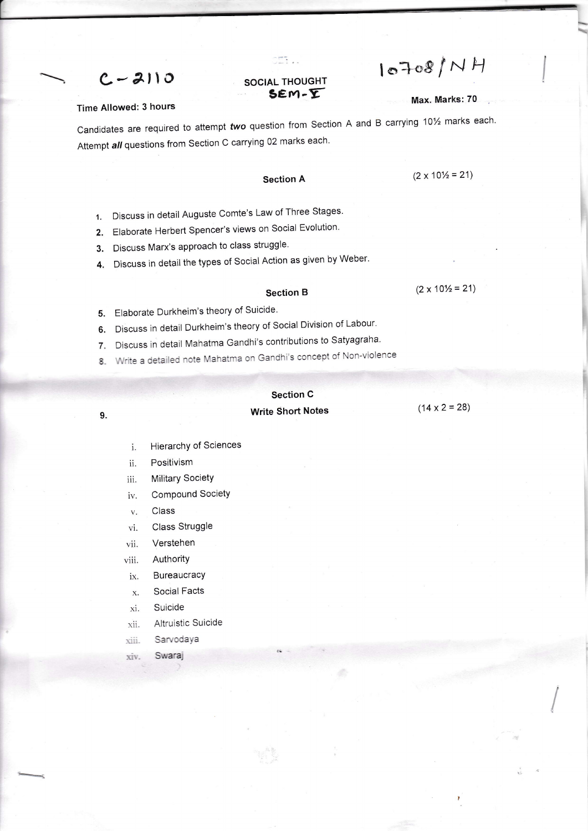$10708/MH$ 

### **SOCIAL THOUGHT**  $SEM - \overline{Y}$

CET ..

#### Max. Marks: 70

#### **Time Allowed: 3 hours**

 $C - 2110$ 

Candidates are required to attempt two question from Section A and B carrying 101/2 marks each. Attempt all questions from Section C carrying 02 marks each.

## **Section A**

 $(2 \times 10\frac{1}{2} = 21)$ 

- 1. Discuss in detail Auguste Comte's Law of Three Stages.
- 2. Elaborate Herbert Spencer's views on Social Evolution.
- 3. Discuss Marx's approach to class struggle.
- Discuss in detail the types of Social Action as given by Weber. 4.

#### **Section B**

 $(2 \times 10\frac{1}{2} = 21)$ 

- Elaborate Durkheim's theory of Suicide. 5.
- Discuss in detail Durkheim's theory of Social Division of Labour. 6.
- Discuss in detail Mahatma Gandhi's contributions to Satyagraha. 7.
- Write a detailed note Mahatma on Gandhi's concept of Non-violence 8

# **Section C Write Short Notes**

 $(14 \times 2 = 28)$ 

- Hierarchy of Sciences i.
- ii. Positivism

9.

- **Military Society** iii.
- Compound Society iv.
- Class  $\mathbf{V}$  .
- Class Struggle vi.
- Verstehen vii.
- Authority viii.
- Bureaucracy ix.
- Social Facts X.
- Suicide xi.
- Altruistic Suicide xii.
- xiii. Sarvodaya
- Swaraj xiv.